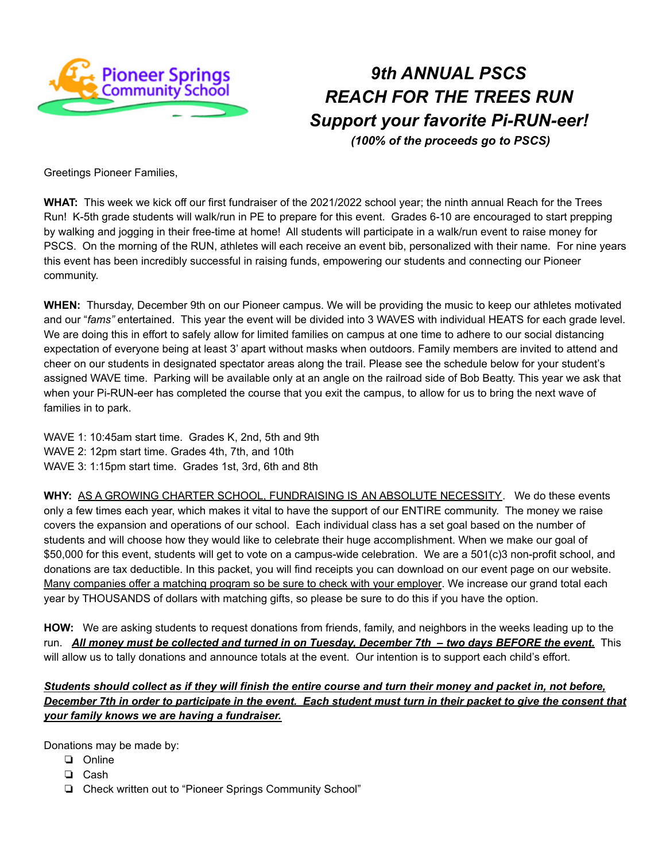

## *9th ANNUAL PSCS REACH FOR THE TREES RUN Support your favorite Pi-RUN-eer!*

*(100% of the proceeds go to PSCS)*

Greetings Pioneer Families,

**WHAT:** This week we kick off our first fundraiser of the 2021/2022 school year; the ninth annual Reach for the Trees Run! K-5th grade students will walk/run in PE to prepare for this event. Grades 6-10 are encouraged to start prepping by walking and jogging in their free-time at home! All students will participate in a walk/run event to raise money for PSCS. On the morning of the RUN, athletes will each receive an event bib, personalized with their name. For nine years this event has been incredibly successful in raising funds, empowering our students and connecting our Pioneer community.

**WHEN:** Thursday, December 9th on our Pioneer campus. We will be providing the music to keep our athletes motivated and our "*fams"* entertained. This year the event will be divided into 3 WAVES with individual HEATS for each grade level. We are doing this in effort to safely allow for limited families on campus at one time to adhere to our social distancing expectation of everyone being at least 3' apart without masks when outdoors. Family members are invited to attend and cheer on our students in designated spectator areas along the trail. Please see the schedule below for your student's assigned WAVE time. Parking will be available only at an angle on the railroad side of Bob Beatty. This year we ask that when your Pi-RUN-eer has completed the course that you exit the campus, to allow for us to bring the next wave of families in to park.

WAVE 1: 10:45am start time. Grades K, 2nd, 5th and 9th WAVE 2: 12pm start time. Grades 4th, 7th, and 10th WAVE 3: 1:15pm start time. Grades 1st, 3rd, 6th and 8th

**WHY:** AS A GROWING CHARTER SCHOOL, FUNDRAISING IS AN ABSOLUTE NECESSITY. We do these events only a few times each year, which makes it vital to have the support of our ENTIRE community. The money we raise covers the expansion and operations of our school. Each individual class has a set goal based on the number of students and will choose how they would like to celebrate their huge accomplishment. When we make our goal of \$50,000 for this event, students will get to vote on a campus-wide celebration. We are a 501(c)3 non-profit school, and donations are tax deductible. In this packet, you will find receipts you can download on our event page on our website. Many companies offer a matching program so be sure to check with your employer. We increase our grand total each year by THOUSANDS of dollars with matching gifts, so please be sure to do this if you have the option.

**HOW:** We are asking students to request donations from friends, family, and neighbors in the weeks leading up to the run. All money must be collected and turned in on Tuesday, December 7th - two days BEFORE the event. This will allow us to tally donations and announce totals at the event. Our intention is to support each child's effort.

Students should collect as if they will finish the entire course and turn their money and packet in, not before, December 7th in order to participate in the event. Each student must turn in their packet to give the consent that *your family knows we are having a fundraiser.*

Donations may be made by:

- ❏ Online
- ❏ Cash
- ❏ Check written out to "Pioneer Springs Community School"